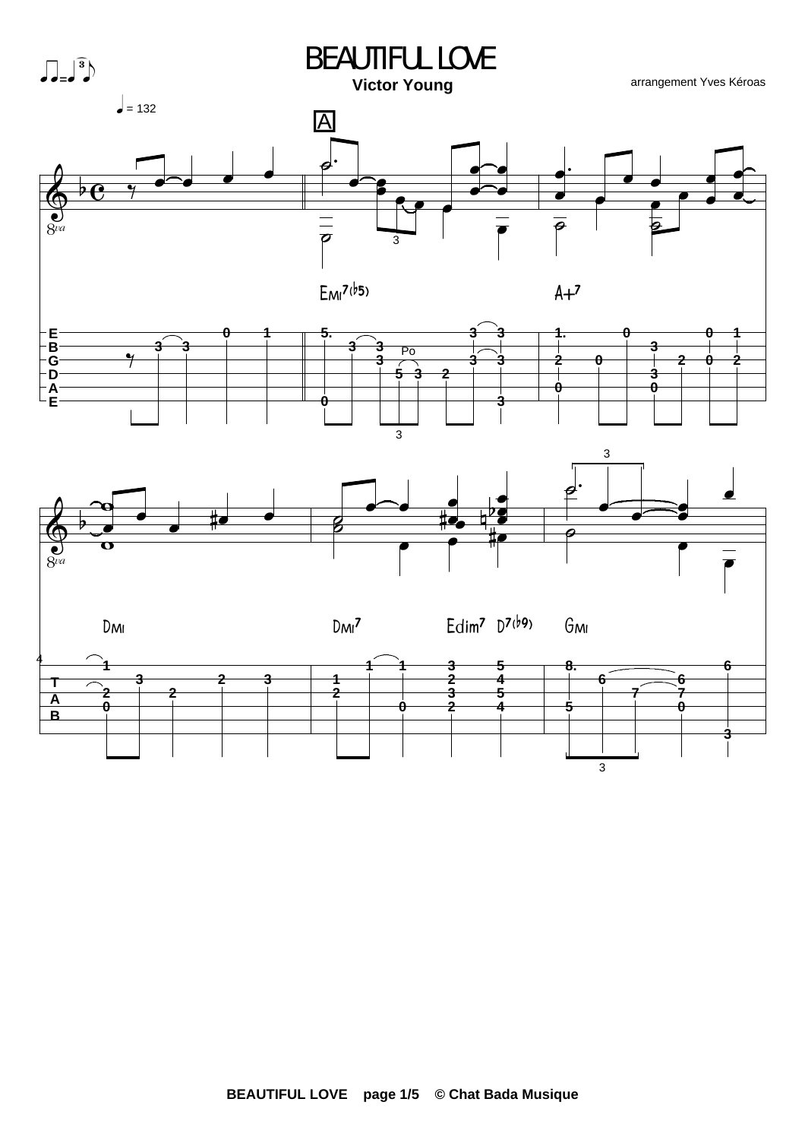



arrangement Yves Kéroas

 $\overline{\boldsymbol{\rho}}$ 

 $A+7$ 

θ

3

A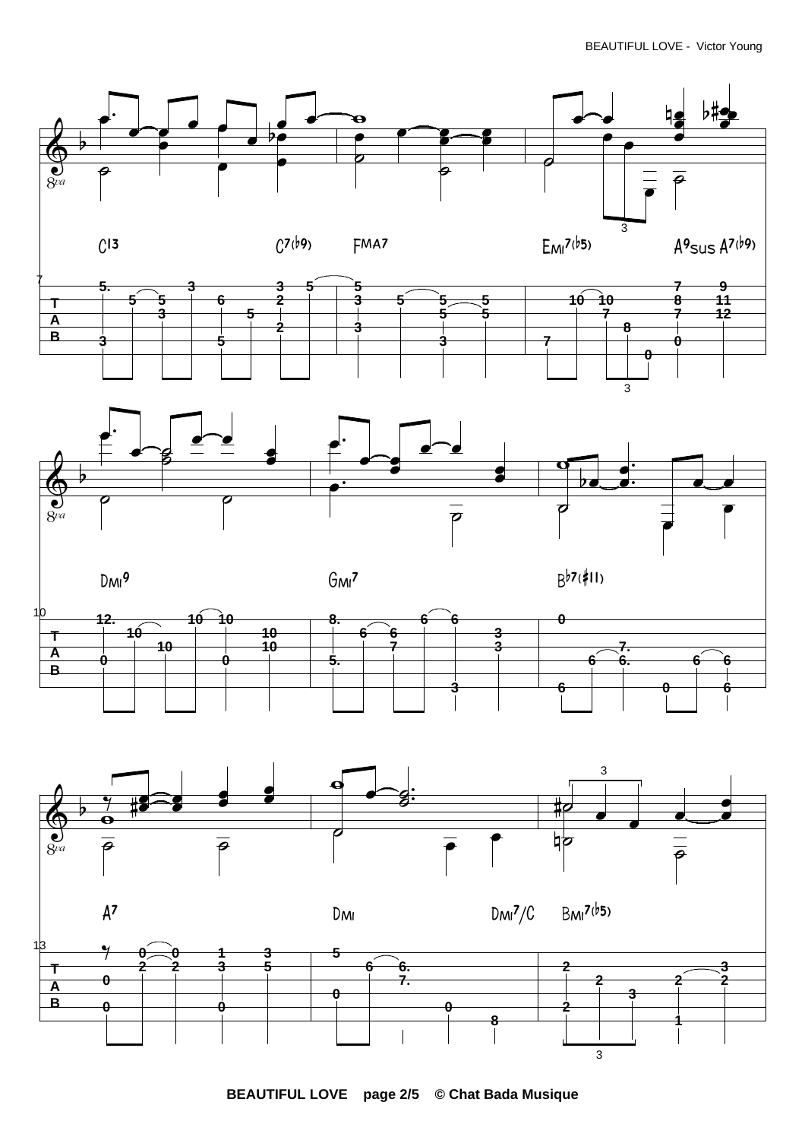





**BEAUTIFUL LOVE page 2/5 © Chat Bada Musique**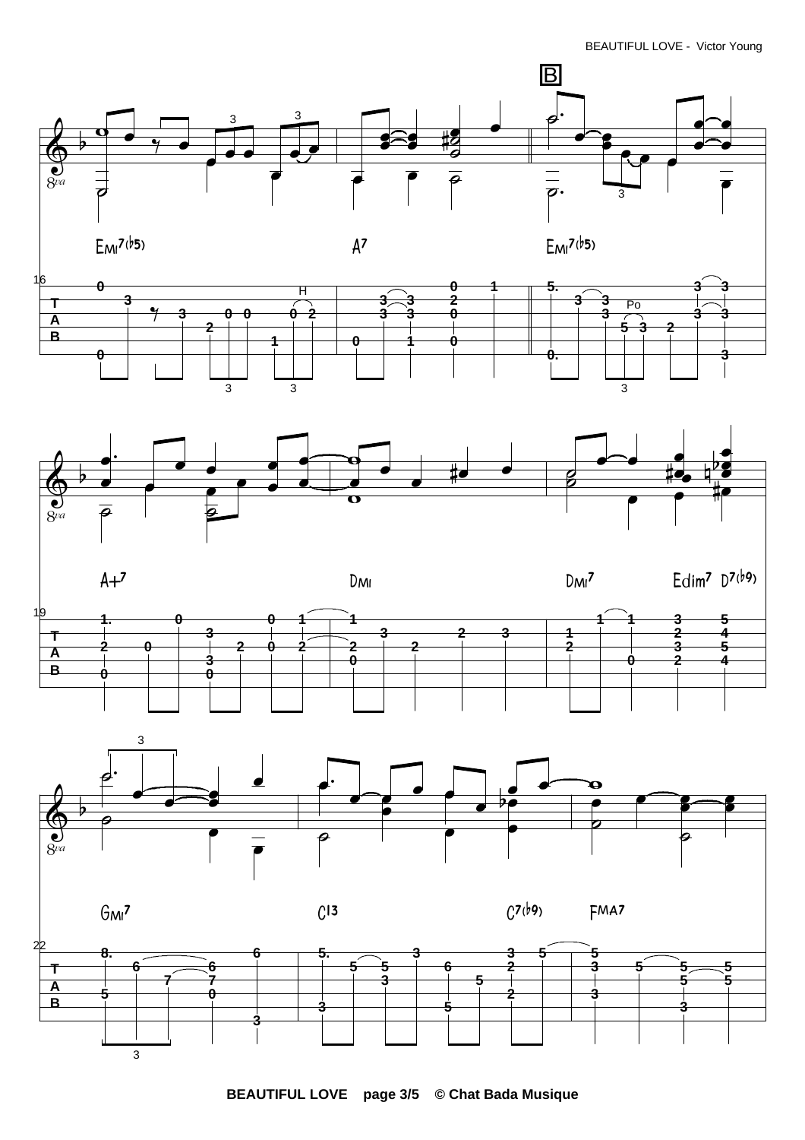







**BEAUTIFUL LOVE page 3/5 © Chat Bada Musique**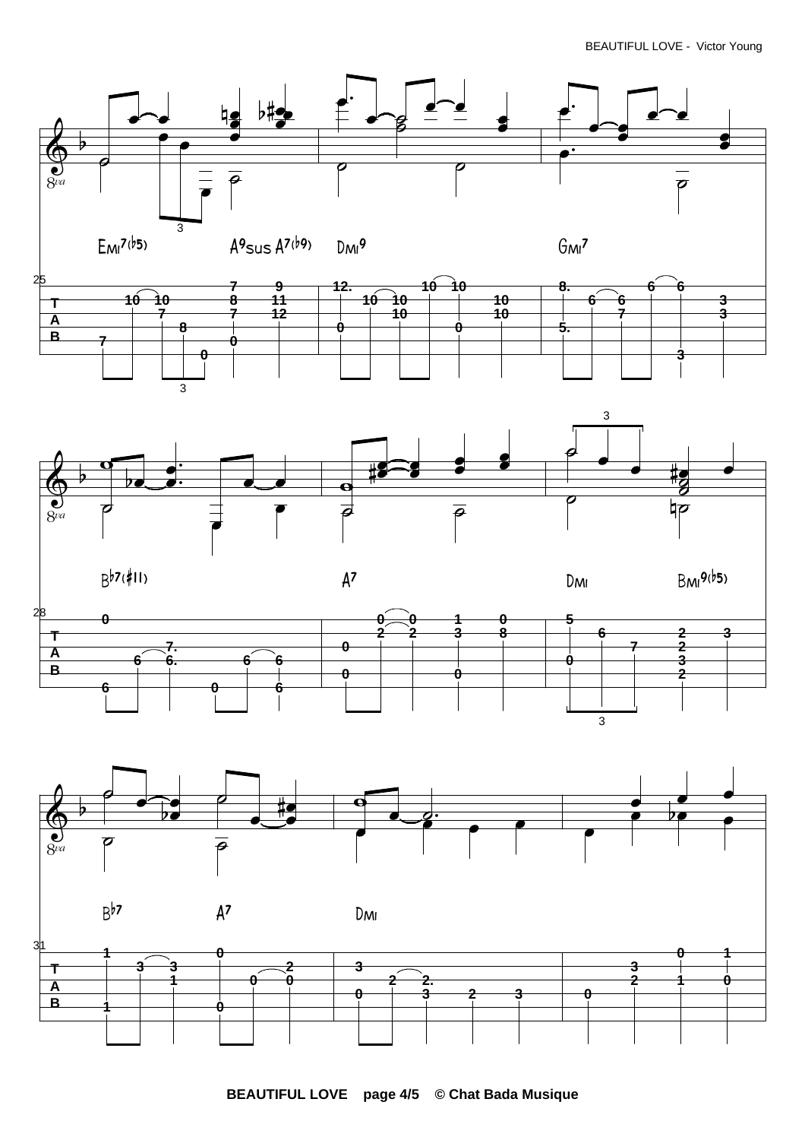BEAUTIFUL LOVE - Victor Young









**BEAUTIFUL LOVE page 4/5 © Chat Bada Musique**